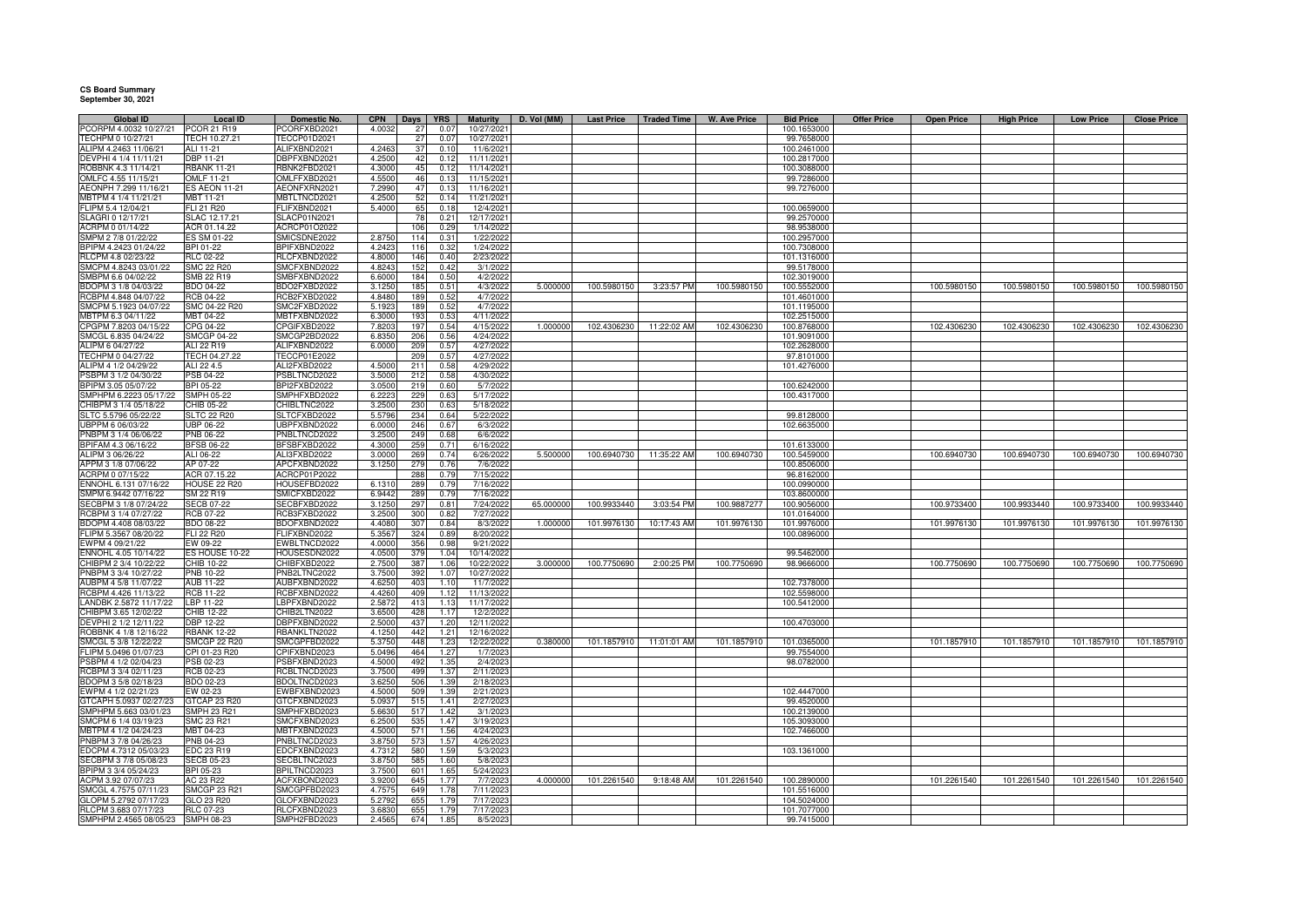## **CS Board Summary September 30, 2021**

| <b>Global ID</b>                              | Local ID                          | Domestic No.                 | <b>CPN</b>      | <b>Days</b>    | <b>YRS</b>   | <b>Maturity</b>          | D. Vol (MM) | <b>Last Price</b> | <b>Traded Time</b>      | <b>W. Ave Price</b> | <b>Bid Price</b>           | <b>Offer Price</b> | <b>Open Price</b> | High Price  | <b>Low Price</b> | <b>Close Price</b> |
|-----------------------------------------------|-----------------------------------|------------------------------|-----------------|----------------|--------------|--------------------------|-------------|-------------------|-------------------------|---------------------|----------------------------|--------------------|-------------------|-------------|------------------|--------------------|
| PCORPM 4.0032 10/27/21                        | PCOR 21 R19                       | PCORFXBD2021                 | 4.0032          | 27             | 0.07         | 10/27/202                |             |                   |                         |                     | 100.1653000                |                    |                   |             |                  |                    |
| TECHPM 0 10/27/21                             | FECH 10.27.21                     | ECCP01D2021                  |                 | 27             | 0.07         | 10/27/2021               |             |                   |                         |                     | 99.7658000                 |                    |                   |             |                  |                    |
| ALIPM 4.2463 11/06/21                         | ALI 11-21                         | ALIFXBND2021                 | 4.246           | 37             | 0.10         | 11/6/202                 |             |                   |                         |                     | 100.2461000                |                    |                   |             |                  |                    |
| DEVPHI 4 1/4 11/11/21                         | <b>DBP 11-21</b>                  | DBPFXBND2021                 | 4.250           | 42             | 0.12         | 11/11/202                |             |                   |                         |                     | 100.2817000                |                    |                   |             |                  |                    |
| ROBBNK 4.3 11/14/21                           | <b>RBANK 11-21</b>                | RBNK2FBD2021                 | 4.300           | 45             | 0.12         | 11/14/2021               |             |                   |                         |                     | 100.3088000                |                    |                   |             |                  |                    |
| OMLFC 4.55 11/15/21                           | OMLF 11-21                        | OMLFFXBD2021                 | 4.550           | 46             | 0.13         | 11/15/202                |             |                   |                         |                     | 99.7286000                 |                    |                   |             |                  |                    |
| AEONPH 7.299 11/16/21<br>MBTPM 4 1/4 11/21/21 | <b>ES AEON 11-21</b><br>MBT 11-21 | AEONFXRN202<br>MBTLTNCD2021  | 7.299<br>4.250  | 47<br>52       | 0.13<br>0.14 | 11/16/202<br>11/21/2021  |             |                   |                         |                     | 99.7276000                 |                    |                   |             |                  |                    |
| FLIPM 5.4 12/04/21                            | FLI 21 R20                        | FLIFXBND2021                 | 5.400           | 65             | 0.18         | 12/4/202                 |             |                   |                         |                     | 100.0659000                |                    |                   |             |                  |                    |
| SLAGRI 0 12/17/21                             | SLAC 12.17.21                     | SLACP01N2021                 |                 | 7 <sub>k</sub> | 0.21         | 12/17/202                |             |                   |                         |                     | 99.2570000                 |                    |                   |             |                  |                    |
| ACRPM 0 01/14/22                              | ACR 01.14.22                      | ACRCP01O2022                 |                 | 106            | 0.29         | 1/14/2022                |             |                   |                         |                     | 98.9538000                 |                    |                   |             |                  |                    |
| MPM 2 7/8 01/22/22                            | S SM 01-22                        | SMICSDNE2022                 | 2.875           | 11.            | 0.31         | 1/22/202                 |             |                   |                         |                     | 100.2957000                |                    |                   |             |                  |                    |
| PIPM 4.2423 01/24/22                          | BPI 01-22                         | BPIFXBND2022                 | 4.242           | 116            | 0.32         | 1/24/202                 |             |                   |                         |                     | 100.7308000                |                    |                   |             |                  |                    |
| RLCPM 4.8 02/23/22                            | RLC 02-22                         | RLCFXBND2022                 | 4.800           | 146            | 0.40         | 2/23/2022                |             |                   |                         |                     | 101.1316000                |                    |                   |             |                  |                    |
| SMCPM 4.8243 03/01/22                         | SMC 22 R20                        | SMCFXBND2022                 | 4.824           | 152            | 0.42         | 3/1/2022                 |             |                   |                         |                     | 99.5178000                 |                    |                   |             |                  |                    |
| SMBPM 6.6 04/02/22                            | MB 22 R19                         | SMBFXBND2022                 | 6.600           | 184            | 0.50         | 4/2/202                  |             |                   |                         |                     | 102.3019000                |                    |                   |             |                  |                    |
| BDOPM 3 1/8 04/03/22                          | BDO 04-22                         | BDO2FXBD2022                 | 3.125           | 185            | 0.51         | 4/3/2022                 | 5.000000    | 100.5980150       | 3:23:57 PM              | 100.5980150         | 100.5552000                |                    | 100.5980150       | 100.5980150 | 100.5980150      | 100.5980150        |
| RCBPM 4.848 04/07/22                          | <b>RCB 04-22</b>                  | RCB2FXBD2022                 | 4.848           | 189            | 0.52         | 4/7/2022                 |             |                   |                         |                     | 101.4601000                |                    |                   |             |                  |                    |
| SMCPM 5.1923 04/07/22                         | SMC 04-22 R20                     | SMC2FXBD2022                 | 5.192           | 189            | 0.52         | 4/7/2022                 |             |                   |                         |                     | 101.1195000                |                    |                   |             |                  |                    |
| MBTPM 6.3 04/11/22                            | MBT 04-22                         | MBTFXBND2022                 | 6.300           | 193            | 0.53         | 4/11/2022                |             |                   |                         |                     | 102.2515000                |                    |                   |             |                  |                    |
| CPGPM 7.8203 04/15/22                         | CPG 04-22                         | CPGIFXBD2022                 | 7.820           | 197            | 0.54         | 4/15/2022                | 1.000000    | 102.4306230       | 11:22:02 AM             | 102.4306230         | 100.8768000                |                    | 102.4306230       | 102.4306230 | 102.4306230      | 102.4306230        |
| SMCGL 6.835 04/24/22                          | <b>SMCGP 04-22</b>                | SMCGP2BD2022                 | 6.835           | 206            | 0.56         | 4/24/2022                |             |                   |                         |                     | 101.9091000                |                    |                   |             |                  |                    |
| ALIPM 6 04/27/22                              | ALI 22 R19                        | ALIFXBND2022                 | 6.000           | 209            | 0.57         | 4/27/2022                |             |                   |                         |                     | 102.2628000                |                    |                   |             |                  |                    |
| TECHPM 0 04/27/22                             | TECH 04.27.22                     | <b>TECCP01E2022</b>          |                 | 209            | 0.57         | 4/27/2022                |             |                   |                         |                     | 97.8101000                 |                    |                   |             |                  |                    |
| ALIPM 4 1/2 04/29/22                          | ALI 22 4.5                        | ALI2FXBD2022                 | 4.500           | 211            | 0.58         | 4/29/202                 |             |                   |                         |                     | 101.4276000                |                    |                   |             |                  |                    |
| SBPM 3 1/2 04/30/22                           | PSB 04-22                         | PSBLTNCD2022                 | 3.500           | 212            | 0.58         | 4/30/202                 |             |                   |                         |                     |                            |                    |                   |             |                  |                    |
| BPIPM 3.05 05/07/22                           | BPI 05-22                         | BPI2FXBD2022                 | 3.0500          | 219            | 0.60         | 5/7/2022                 |             |                   |                         |                     | 100.6242000                |                    |                   |             |                  |                    |
| MPHPM 6.2223 05/17/22                         | SMPH 05-22                        | SMPHFXBD2022                 | 6.222           | 229            | 0.63         | 5/17/2022                |             |                   |                         |                     | 100.4317000                |                    |                   |             |                  |                    |
| CHIBPM 3 1/4 05/18/22                         | CHIB 05-22                        | CHIBLTNC2022                 | 3.250           | 230            | 0.63         | 5/18/2022                |             |                   |                         |                     |                            |                    |                   |             |                  |                    |
| SLTC 5.5796 05/22/22                          | <b>SLTC 22 R20</b>                | SLTCFXBD2022                 | 5.5796          | 234            | 0.64         | 5/22/2022                |             |                   |                         |                     | 99.8128000                 |                    |                   |             |                  |                    |
| UBPPM 6 06/03/22                              | UBP 06-22                         | UBPFXBND2022                 | 6.000           | 246            | 0.67         | 6/3/2022                 |             |                   |                         |                     | 102.6635000                |                    |                   |             |                  |                    |
| PNBPM 3 1/4 06/06/22                          | PNB 06-22                         | PNBLTNCD2022                 | 3.250           | 249            | 0.68         | 6/6/2022                 |             |                   |                         |                     |                            |                    |                   |             |                  |                    |
| BPIFAM 4.3 06/16/22                           | <b>BFSB 06-22</b>                 | BFSBFXBD2022                 | 4.300           | 259            | 0.71         | 6/16/2022                |             |                   |                         |                     | 101.6133000                |                    |                   |             |                  |                    |
| ALIPM 3 06/26/22                              | ALI 06-22                         | ALI3FXBD2022                 | 3.000           | 269            | 0.74         | 6/26/2022                | 5.500000    | 100.6940730       | 11:35:22 AM             | 100.6940730         | 100.5459000                |                    | 100.6940730       | 100.6940730 | 100.6940730      | 100.6940730        |
| APPM 3 1/8 07/06/22                           | AP 07-22                          | APCFXBND2022                 | 3.125           | 279            | 0.76         | 7/6/2022                 |             |                   |                         |                     | 100.8506000                |                    |                   |             |                  |                    |
| ACRPM 0 07/15/22                              | ACR 07.15.22                      | ACRCP01P2022                 |                 | 288            | 0.79         | 7/15/2022                |             |                   |                         |                     | 96.8162000                 |                    |                   |             |                  |                    |
| NNOHL 6.131 07/16/22                          | HOUSE 22 R20                      | HOUSEFBD2022                 | 6.131           | 289            | 0.79         | 7/16/202                 |             |                   |                         |                     | 100.0990000                |                    |                   |             |                  |                    |
| SMPM 6.9442 07/16/22                          | SM 22 R19                         | SMICFXBD2022                 | 6.9442          | 289            | 0.79         | 7/16/2022                |             |                   |                         |                     | 103.8600000                |                    |                   |             |                  |                    |
| SECBPM 3 1/8 07/24/22                         | <b>SECB 07-22</b>                 | SECBFXBD2022                 | 3.125           | 297            | 0.81         | 7/24/2022                | 65,000000   | 100.9933440       | 3:03:54 PM              | 100.9887277         | 100.9056000                |                    | 100.9733400       | 100.9933440 | 100.9733400      | 100.9933440        |
| RCBPM 3 1/4 07/27/22                          | <b>RCB 07-22</b>                  | RCB3FXBD2022                 | 3.250           | 300            | 0.82         | 7/27/2022                |             |                   |                         |                     | 101.0164000                |                    |                   |             |                  |                    |
| BDOPM 4.408 08/03/22                          | BDO 08-22                         | BDOFXBND2022                 | 4.408           | 307            | 0.84         | 8/3/2022                 | 1.000000    | 101.9976130       | 10:17:43 AM             | 101.9976130         | 101.9976000                |                    | 101.9976130       | 101.9976130 | 101.9976130      | 101.9976130        |
| FLIPM 5.3567 08/20/22                         | FLI 22 R20                        | FLIFXBND2022                 | 5.356           | 324            | 0.89         | 8/20/2022                |             |                   |                         |                     | 100.0896000                |                    |                   |             |                  |                    |
| WPM 4 09/21/22                                | EW 09-22                          | EWBLTNCD2022                 | 4.000           | 356            | 0.98         | 9/21/2022                |             |                   |                         |                     |                            |                    |                   |             |                  |                    |
| ENNOHL 4.05 10/14/22                          | ES HOUSE 10-22                    | HOUSESDN2022                 | 4.050           | 379            | 1.04         | 10/14/202                |             |                   |                         |                     | 99.5462000                 |                    |                   |             |                  |                    |
| CHIBPM 2 3/4 10/22/22                         | CHIB 10-22                        | CHIBFXBD2022                 | 2.750           | 387            | 1.06         | 10/22/2022               | 3.000000    | 100.7750690       | 2:00:25 PM              | 100.7750690         | 98.9666000                 |                    | 100.7750690       | 100.7750690 | 100.7750690      | 100.7750690        |
| PNBPM 3 3/4 10/27/22                          | PNB 10-22                         | PNB2LTNC2022                 | 3.750           | 392            | 1.07         | 10/27/2022               |             |                   |                         |                     |                            |                    |                   |             |                  |                    |
| AUBPM 4 5/8 11/07/22<br>RCBPM 4.426 11/13/22  | AUB 11-22<br><b>RCB 11-22</b>     | AUBFXBND2022                 | 4.625           | 403<br>409     | 1.10<br>1.12 | 11/7/2022                |             |                   |                         |                     | 102.7378000<br>102.5598000 |                    |                   |             |                  |                    |
| LANDBK 2.5872 11/17/22                        | LBP 11-22                         | RCBFXBND2022<br>LBPFXBND2022 | 4.426<br>2.5872 | 413            | 1.13         | 11/13/2022<br>11/17/2022 |             |                   |                         |                     | 100.5412000                |                    |                   |             |                  |                    |
| HIBPM 3.65 12/02/22                           | CHIB 12-22                        | CHIB2LTN2022                 | 3.650           | 428            | 1.17         | 12/2/202                 |             |                   |                         |                     |                            |                    |                   |             |                  |                    |
| EVPHI 2 1/2 12/11/22                          | DBP 12-22                         | DBPFXBND2022                 | 2.500           | 437            | 1.20         | 12/11/2022               |             |                   |                         |                     | 100.4703000                |                    |                   |             |                  |                    |
| ROBBNK 4 1/8 12/16/22                         | <b>BANK 12-22</b>                 | RBANKLTN2022                 | 4.1250          | 442            | 1.21         | 12/16/2022               |             |                   |                         |                     |                            |                    |                   |             |                  |                    |
| SMCGL 5 3/8 12/22/22                          | <b>SMCGP 22 R20</b>               | SMCGPFBD2022                 | 5.375           | 448            | 1.23         | 12/22/2022               | 0.380000    |                   | 101.1857910 11:01:01 AM | 101.1857910         | 101.0365000                |                    | 101.1857910       | 101.1857910 | 101.1857910      | 101.1857910        |
| FLIPM 5.0496 01/07/23                         | CPI 01-23 R20                     | CPIFXBND2023                 | 5.0496          | 464            | 1.27         | 1/7/2023                 |             |                   |                         |                     | 99.7554000                 |                    |                   |             |                  |                    |
| PSBPM 4 1/2 02/04/23                          | PSB 02-23                         | PSBFXBND2023                 | 4.500           | 492            | 1.35         | 2/4/2023                 |             |                   |                         |                     | 98.0782000                 |                    |                   |             |                  |                    |
| <b>CBPM 3 3/4 02/11/23</b>                    | RCB 02-23                         | RCBLTNCD2023                 | 3.750           | 499            | 1.37         | 2/11/2023                |             |                   |                         |                     |                            |                    |                   |             |                  |                    |
| BDOPM 3 5/8 02/18/23                          | BDO 02-23                         | BDOLTNCD2023                 | 3.625           | 506            | 1.39         | 2/18/2023                |             |                   |                         |                     |                            |                    |                   |             |                  |                    |
| EWPM 4 1/2 02/21/23                           | EW 02-23                          | EWBFXBND2023                 | 4.500           | 509            | 1.39         | 2/21/2023                |             |                   |                         |                     | 102.4447000                |                    |                   |             |                  |                    |
| GTCAPH 5.0937 02/27/23                        | GTCAP 23 R20                      | GTCFXBND2023                 | 5.093           | 515            | 1.41         | 2/27/2023                |             |                   |                         |                     | 99.4520000                 |                    |                   |             |                  |                    |
| MPHPM 5.663 03/01/23                          | SMPH 23 R21                       | SMPHFXBD2023                 | 5.663           | 51             | 1.42         | 3/1/2023                 |             |                   |                         |                     | 100.2139000                |                    |                   |             |                  |                    |
| SMCPM 6 1/4 03/19/23                          | SMC 23 R21                        | SMCFXBND2023                 | 6.250           | 535            | 1.47         | 3/19/2023                |             |                   |                         |                     | 105.3093000                |                    |                   |             |                  |                    |
| MBTPM 4 1/2 04/24/23                          | MBT 04-23                         | MBTFXBND2023                 | 4.500           | 571            | 1.56         | 4/24/202                 |             |                   |                         |                     | 102.7466000                |                    |                   |             |                  |                    |
| PNBPM 3 7/8 04/26/23                          | PNB 04-23                         | PNBLTNCD2023                 | 3.875           | 573            | 1.57         | 4/26/202                 |             |                   |                         |                     |                            |                    |                   |             |                  |                    |
| EDCPM 4.7312 05/03/23                         | EDC 23 R19                        | EDCFXBND2023                 | 4.731           | 580            | 1.59         | 5/3/2023                 |             |                   |                         |                     | 103.1361000                |                    |                   |             |                  |                    |
| SECBPM 3 7/8 05/08/23                         | <b>SECB 05-23</b>                 | SECBLTNC2023                 | 3.875           | 585            | 1.60         | 5/8/2023                 |             |                   |                         |                     |                            |                    |                   |             |                  |                    |
| BPIPM 3 3/4 05/24/23                          | BPI 05-23                         | BPILTNCD2023                 | 3.750           | 601            | 1.65         | 5/24/2023                |             |                   |                         |                     |                            |                    |                   |             |                  |                    |
| ACPM 3.92 07/07/23                            | AC 23 R22                         | ACFXBOND2023                 | 3.920           | 645            | 1.77         | 7/7/2023                 | 4.000000    | 101.2261540       | 9:18:48 AM              | 101.2261540         | 100.2890000                |                    | 101.2261540       | 101.2261540 | 101.2261540      | 101.2261540        |
| SMCGL 4.7575 07/11/23                         | SMCGP 23 R21                      | SMCGPFBD2023                 | 4.757           | 649            | 1.78         | 7/11/202                 |             |                   |                         |                     | 101.5516000                |                    |                   |             |                  |                    |
| GLOPM 5.2792 07/17/23                         | GLO 23 R20                        | GLOFXBND2023                 | 5.279           | 655            | 1.79         | 7/17/202                 |             |                   |                         |                     | 104.5024000                |                    |                   |             |                  |                    |
| RLCPM 3.683 07/17/23                          | RLC 07-23                         | RLCFXBND2023                 | 3.683           | 655            | 1.79         | 7/17/2023                |             |                   |                         |                     | 101.7077000                |                    |                   |             |                  |                    |
| SMPHPM 2.4565 08/05/23                        | <b>SMPH 08-23</b>                 | SMPH2FBD2023                 | 2.4565          | 674            | 1.85         | 8/5/2023                 |             |                   |                         |                     | 99.7415000                 |                    |                   |             |                  |                    |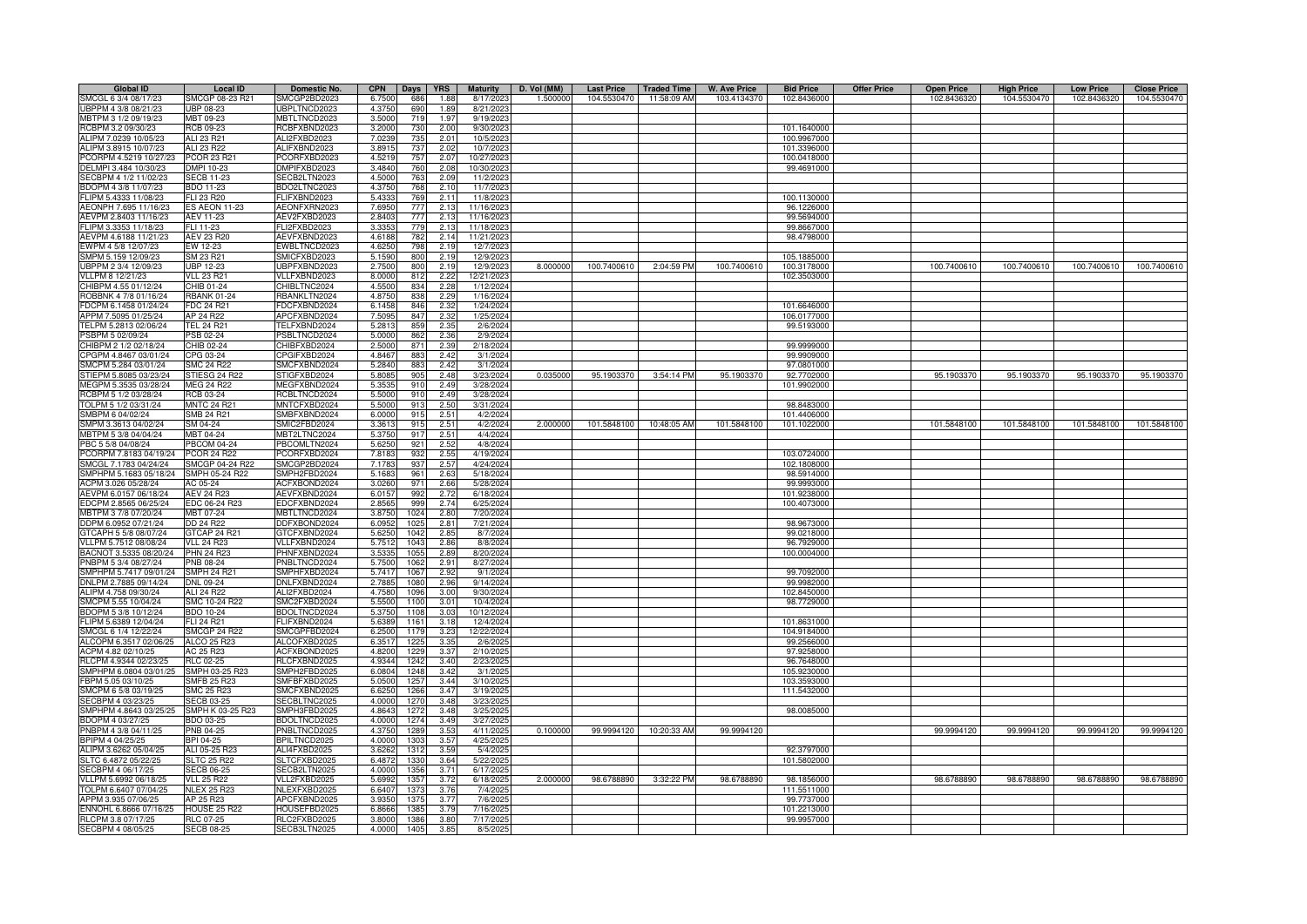| <b>Global ID</b>       | <b>Local ID</b>     | Domestic No.        | <b>CPN</b><br>Days <b>YRS</b> | <b>Maturity</b> | D. Vol (MM) | <b>Last Price</b> | <b>Traded Time</b> | <b>W. Ave Price</b> | <b>Bid Price</b> | <b>Offer Price</b> | <b>Open Price</b> | <b>High Price</b> | <b>Low Price</b> | <b>Close Price</b> |
|------------------------|---------------------|---------------------|-------------------------------|-----------------|-------------|-------------------|--------------------|---------------------|------------------|--------------------|-------------------|-------------------|------------------|--------------------|
| SMCGL 6 3/4 08/17/23   | SMCGP 08-23 R21     | SMCGP2BD2023        | 6.7500<br>1.88<br>686         | 8/17/2023       | 1.500000    | 104.5530470       | 11:58:09 AM        | 103.4134370         | 102.8436000      |                    | 102.8436320       | 104.5530470       | 102.8436320      | 104.5530470        |
| UBPPM 4 3/8 08/21/23   | <b>JBP 08-23</b>    | JBPLTNCD2023        | 690<br>4.3750<br>1.89         | 8/21/2023       |             |                   |                    |                     |                  |                    |                   |                   |                  |                    |
| MBTPM 3 1/2 09/19/23   | MBT 09-23           | <b>IBTLTNCD2023</b> | 3.5000<br>719<br>1.97         | 9/19/202        |             |                   |                    |                     |                  |                    |                   |                   |                  |                    |
| RCBPM 3.2 09/30/23     | RCB 09-23           | <b>ICBFXBND2023</b> | 3.2000<br>730<br>2.00         | 9/30/2023       |             |                   |                    |                     | 101.1640000      |                    |                   |                   |                  |                    |
| ALIPM 7.0239 10/05/23  | ALI 23 R21          | ALI2FXBD2023        | 7.0239<br>735<br>2.01         | 10/5/2023       |             |                   |                    |                     | 100.9967000      |                    |                   |                   |                  |                    |
| ALIPM 3.8915 10/07/23  | ALI 23 R22          | ALIFXBND2023        | 3.8915<br>737<br>2.02         | 10/7/2023       |             |                   |                    |                     | 101.3396000      |                    |                   |                   |                  |                    |
| PCORPM 4.5219 10/27/23 | PCOR 23 R21         | <b>CORFXBD2023</b>  | 4.5219<br>757<br>2.07         | 10/27/202       |             |                   |                    |                     | 100.0418000      |                    |                   |                   |                  |                    |
|                        |                     |                     |                               |                 |             |                   |                    |                     |                  |                    |                   |                   |                  |                    |
| DELMPI 3.484 10/30/23  | DMPI 10-23          | DMPIFXBD2023        | 3.4840<br>760<br>2.08         | 10/30/2023      |             |                   |                    |                     | 99.4691000       |                    |                   |                   |                  |                    |
| SECBPM 4 1/2 11/02/23  | <b>SECB 11-23</b>   | ECB2LTN2023         | 4.5000<br>763<br>2.09         | 11/2/202        |             |                   |                    |                     |                  |                    |                   |                   |                  |                    |
| BDOPM 4 3/8 11/07/23   | BDO 11-23           | DO2LTNC2023         | 4.375<br>768<br>2.10          | 11/7/202        |             |                   |                    |                     |                  |                    |                   |                   |                  |                    |
| FLIPM 5.4333 11/08/23  | <b>ELI 23 R20</b>   | FLIFXBND2023        | 5.433<br>769<br>2.11          | 11/8/202        |             |                   |                    |                     | 100.1130000      |                    |                   |                   |                  |                    |
| AEONPH 7.695 11/16/23  | <b>S AEON 11-23</b> | AEONFXRN2023        | 7.695<br>777<br>2.13          | 11/16/202       |             |                   |                    |                     | 96.1226000       |                    |                   |                   |                  |                    |
| AEVPM 2.8403 11/16/23  | <b>AEV 11-23</b>    | AEV2FXBD2023        | 2.840<br>777<br>2.13          | 11/16/2023      |             |                   |                    |                     | 99.5694000       |                    |                   |                   |                  |                    |
| FLIPM 3.3353 11/18/23  | FLI 11-23           | FLI2FXBD2023        | 779<br>3.335<br>2.13          | 11/18/2023      |             |                   |                    |                     | 99.8667000       |                    |                   |                   |                  |                    |
| AEVPM 4.6188 11/21/23  | <b>AEV 23 R20</b>   | AEVFXBND2023        | 4.6188<br>782<br>2.14         | 11/21/2023      |             |                   |                    |                     | 98.4798000       |                    |                   |                   |                  |                    |
| EWPM 4 5/8 12/07/23    | EW 12-23            | EWBLTNCD2023        | 4.6250<br>798<br>2.19         | 12/7/2023       |             |                   |                    |                     |                  |                    |                   |                   |                  |                    |
| SMPM 5.159 12/09/23    | SM 23 R21           | <b>SMICFXBD2023</b> | 800<br>2.19<br>5.1590         | 12/9/2023       |             |                   |                    |                     | 105.1885000      |                    |                   |                   |                  |                    |
| JBPPM 2 3/4 12/09/23   | JBP 12-23           | BPFXBND2023         | 2.750<br>800<br>2.19          | 12/9/2023       | 8.000000    | 100.7400610       | 2:04:59 PM         | 100.7400610         | 100.3178000      |                    | 100.7400610       | 100.7400610       | 100.7400610      | 100.7400610        |
| VLLPM 8 12/21/23       | <b>VLL 23 R21</b>   | /LLFXBND2023        | 8.000<br>2.2i<br>$8^{\circ}$  | 12/21/202       |             |                   |                    |                     | 102.3503000      |                    |                   |                   |                  |                    |
| CHIBPM 4.55 01/12/24   | CHIB 01-24          | CHIBLTNC2024        | 4.550<br>834<br>2.28          | 1/12/2024       |             |                   |                    |                     |                  |                    |                   |                   |                  |                    |
| ROBBNK 4 7/8 01/16/24  | <b>RBANK 01-24</b>  | BANKLTN2024         | 4.875<br>83<br>2.29           | 1/16/2024       |             |                   |                    |                     |                  |                    |                   |                   |                  |                    |
| FDCPM 6.1458 01/24/24  | FDC 24 R21          | DCFXBND2024         | 6.145<br>846<br>2.32          | 1/24/2024       |             |                   |                    |                     | 101.6646000      |                    |                   |                   |                  |                    |
| APPM 7.5095 01/25/24   | AP 24 R22           | APCFXBND2024        | 7.509<br>847<br>2.32          | 1/25/2024       |             |                   |                    |                     | 106.0177000      |                    |                   |                   |                  |                    |
| TELPM 5.2813 02/06/24  | <b>TEL 24 R21</b>   | TELFXBND2024        | 5.281<br>859<br>2.35          | 2/6/2024        |             |                   |                    |                     | 99.5193000       |                    |                   |                   |                  |                    |
| PSBPM 5 02/09/24       | PSB 02-24           | SBLTNCD2024         | 5.0000<br>2.36<br>862         | 2/9/2024        |             |                   |                    |                     |                  |                    |                   |                   |                  |                    |
| CHIBPM 2 1/2 02/18/24  | CHIB 02-24          | CHIBFXBD2024        | 2.39<br>2.5000<br>871         | 2/18/2024       |             |                   |                    |                     | 99.9999000       |                    |                   |                   |                  |                    |
| CPGPM 4.8467 03/01/24  | CPG 03-24           | CPGIFXBD2024        | 883<br>2.42<br>4.8467         | 3/1/2024        |             |                   |                    |                     | 99.9909000       |                    |                   |                   |                  |                    |
| SMCPM 5.284 03/01/24   | <b>SMC 24 R22</b>   | SMCFXBND2024        | 2.42<br>883<br>5.2840         | 3/1/2024        |             |                   |                    |                     | 97.0801000       |                    |                   |                   |                  |                    |
| STIEPM 5.8085 03/23/24 | STIESG 24 R22       | STIGFXBD2024        | 2.48<br>5.808<br>905          | 3/23/2024       | 0.035000    | 95.1903370        | 3:54:14 PM         | 95.1903370          | 92.7702000       |                    | 95.1903370        | 95.1903370        | 95.1903370       | 95.1903370         |
| MEGPM 5.3535 03/28/24  | <b>MEG 24 R22</b>   | <b>IEGFXBND2024</b> | 2.49<br>5.353<br>91           | 3/28/2024       |             |                   |                    |                     | 101.9902000      |                    |                   |                   |                  |                    |
| RCBPM 5 1/2 03/28/24   | RCB 03-24           | <b>ICBLTNCD2024</b> | 5.5000<br>910<br>2.49         | 3/28/2024       |             |                   |                    |                     |                  |                    |                   |                   |                  |                    |
| TOLPM 5 1/2 03/31/24   | <b>MNTC 24 R21</b>  | MNTCFXBD2024        | 5.5000<br>913<br>2.50         | 3/31/2024       |             |                   |                    |                     | 98.8483000       |                    |                   |                   |                  |                    |
| SMBPM 6 04/02/24       | SMB 24 R21          | SMBFXBND2024        | 6.0000<br>915<br>2.51         | 4/2/2024        |             |                   |                    |                     | 101.4406000      |                    |                   |                   |                  |                    |
|                        |                     |                     |                               |                 |             |                   |                    |                     |                  |                    |                   |                   |                  |                    |
| SMPM 3.3613 04/02/24   | SM 04-24            | SMIC2FBD2024        | 3.361<br>915<br>2.51          | 4/2/2024        | 2.000000    | 101.5848100       | 10:48:05 AM        | 101.5848100         | 101.1022000      |                    | 101.5848100       | 101.5848100       | 101.5848100      | 101.5848100        |
| MBTPM 5 3/8 04/04/24   | <b>MBT 04-24</b>    | <b>IBT2LTNC2024</b> | 5.375<br>917<br>2.51          | 4/4/2024        |             |                   |                    |                     |                  |                    |                   |                   |                  |                    |
| PBC 5 5/8 04/08/24     | <b>BCOM 04-24</b>   | BCOMLTN2024         | 5.625<br>921<br>2.52          | 4/8/2024        |             |                   |                    |                     |                  |                    |                   |                   |                  |                    |
| PCORPM 7.8183 04/19/24 | <b>COR 24 R22</b>   | CORFXBD2024         | 7.818<br>932<br>2.55          | 4/19/2024       |             |                   |                    |                     | 103.0724000      |                    |                   |                   |                  |                    |
| SMCGL 7.1783 04/24/24  | SMCGP 04-24 R22     | SMCGP2BD2024        | 7.178<br>937<br>2.5           | 4/24/2024       |             |                   |                    |                     | 102.1808000      |                    |                   |                   |                  |                    |
| SMPHPM 5.1683 05/18/24 | SMPH 05-24 R22      | SMPH2FBD2024        | 5.168<br>961<br>2.6           | 5/18/2024       |             |                   |                    |                     | 98.5914000       |                    |                   |                   |                  |                    |
| ACPM 3.026 05/28/24    | AC 05-24            | ACFXBOND2024        | 3.026<br>971<br>2.66          | 5/28/2024       |             |                   |                    |                     | 99.9993000       |                    |                   |                   |                  |                    |
| AEVPM 6.0157 06/18/24  | <b>AEV 24 R23</b>   | AEVFXBND2024        | 6.015<br>992<br>2.72          | 6/18/2024       |             |                   |                    |                     | 101.9238000      |                    |                   |                   |                  |                    |
| EDCPM 2.8565 06/25/24  | EDC 06-24 R23       | EDCFXBND2024        | 999<br>2.74<br>2.8565         | 6/25/2024       |             |                   |                    |                     | 100.4073000      |                    |                   |                   |                  |                    |
| MBTPM 3 7/8 07/20/24   | MBT 07-24           | MBTLTNCD2024        | 2.80<br>3.8750<br>1024        | 7/20/2024       |             |                   |                    |                     |                  |                    |                   |                   |                  |                    |
| DDPM 6.0952 07/21/24   | DD 24 R22           | DDFXBOND2024        | 2.81<br>6.0952<br>1025        | 7/21/2024       |             |                   |                    |                     | 98.9673000       |                    |                   |                   |                  |                    |
| GTCAPH 5 5/8 08/07/24  | GTCAP 24 R21        | GTCFXBND2024        | 2.85<br>5.625<br>1042         | 8/7/2024        |             |                   |                    |                     | 99.0218000       |                    |                   |                   |                  |                    |
| VLLPM 5.7512 08/08/24  | <b>VLL 24 R23</b>   | VLLFXBND2024        | 5.751<br>104<br>2.86          | 8/8/2024        |             |                   |                    |                     | 96.7929000       |                    |                   |                   |                  |                    |
| BACNOT 3.5335 08/20/24 | <b>PHN 24 R23</b>   | HNFXBND2024         | 3.533<br>105<br>2.8           | 8/20/2024       |             |                   |                    |                     | 100.0004000      |                    |                   |                   |                  |                    |
| PNBPM 5 3/4 08/27/24   | PNB 08-24           | PNBLTNCD2024        | 5.750<br>1062<br>2.91         | 8/27/2024       |             |                   |                    |                     |                  |                    |                   |                   |                  |                    |
| SMPHPM 5.7417 09/01/24 | <b>SMPH 24 R21</b>  | SMPHFXBD2024        | 5.741<br>1067<br>2.92         | 9/1/2024        |             |                   |                    |                     | 99.7092000       |                    |                   |                   |                  |                    |
| DNLPM 2.7885 09/14/24  | <b>DNL 09-24</b>    | <b>NLFXBND2024</b>  | 2.788<br>1080<br>2.96         | 9/14/2024       |             |                   |                    |                     | 99.9982000       |                    |                   |                   |                  |                    |
| ALIPM 4.758 09/30/24   | ALI 24 R22          | ALI2FXBD2024        | 4.758<br>1096<br>3.00         | 9/30/2024       |             |                   |                    |                     | 102.8450000      |                    |                   |                   |                  |                    |
| SMCPM 5.55 10/04/24    | SMC 10-24 R22       | SMC2FXBD2024        | 5.5500<br>1100<br>3.01        | 10/4/2024       |             |                   |                    |                     | 98.7729000       |                    |                   |                   |                  |                    |
| BDOPM 5 3/8 10/12/24   | <b>BDO 10-24</b>    | BDOLTNCD2024        | 5.3750<br>1108<br>3.03        | 10/12/2024      |             |                   |                    |                     |                  |                    |                   |                   |                  |                    |
| FLIPM 5.6389 12/04/24  | FLI 24 R21          | FLIFXBND2024        | 5.6389<br>3.18<br>1161        | 12/4/2024       |             |                   |                    |                     | 101.8631000      |                    |                   |                   |                  |                    |
| SMCGL 6 1/4 12/22/24   | <b>SMCGP 24 R22</b> | SMCGPFBD2024        | 6.2500<br>3.23<br>1179        | 12/22/2024      |             |                   |                    |                     | 104.9184000      |                    |                   |                   |                  |                    |
| ALCOPM 6.3517 02/06/25 | ALCO 25 R23         | ALCOFXBD2025        | 6.3517<br>1225<br>3.35        | 2/6/2025        |             |                   |                    |                     | 99.2566000       |                    |                   |                   |                  |                    |
| ACPM 4.82 02/10/25     | AC 25 R23           | ACFXBOND2025        | 4.8200<br>1229<br>3.37        | 2/10/2025       |             |                   |                    |                     | 97.9258000       |                    |                   |                   |                  |                    |
| RLCPM 4.9344 02/23/25  | <b>RLC 02-25</b>    | <b>ILCFXBND2025</b> | 4.9344<br>1242<br>3.40        | 2/23/2025       |             |                   |                    |                     | 96.7648000       |                    |                   |                   |                  |                    |
| SMPHPM 6.0804 03/01/25 | SMPH 03-25 R23      | SMPH2FBD2025        | 6.0804<br>1248<br>3.42        | 3/1/2025        |             |                   |                    |                     | 105.9230000      |                    |                   |                   |                  |                    |
| FBPM 5.05 03/10/25     | SMFB 25 R23         | SMFBFXBD2025        | 5.0500<br>1257<br>3.44        | 3/10/2025       |             |                   |                    |                     | 103.3593000      |                    |                   |                   |                  |                    |
| SMCPM 6 5/8 03/19/25   | SMC 25 R23          | SMCFXBND2025        | 6.6250<br>1266<br>3.47        | 3/19/2025       |             |                   |                    |                     | 111.5432000      |                    |                   |                   |                  |                    |
| SECBPM 4 03/23/25      | <b>SECB 03-25</b>   | SECBLTNC2025        | 4.0000<br>1270<br>3.48        | 3/23/2025       |             |                   |                    |                     |                  |                    |                   |                   |                  |                    |
| SMPHPM 4.8643 03/25/25 | SMPH K 03-25 R23    | SMPH3FBD2025        | 4.8643<br>1272<br>3.48        | 3/25/202        |             |                   |                    |                     | 98.0085000       |                    |                   |                   |                  |                    |
| BDOPM 4 03/27/25       | <b>BDO 03-25</b>    | BDOLTNCD2025        | 4.0000<br>1274<br>3.49        | 3/27/202        |             |                   |                    |                     |                  |                    |                   |                   |                  |                    |
|                        |                     |                     |                               |                 |             |                   |                    |                     |                  |                    |                   |                   |                  | 99.9994120         |
| PNBPM 4 3/8 04/11/25   | PNB 04-25           | NBLTNCD2025         | 4.375<br>1289<br>3.5          | 4/11/202        | 0.100000    | 99.9994120        | 10:20:33 AM        | 99.9994120          |                  |                    | 99.9994120        | 99.9994120        | 99.9994120       |                    |
| BPIPM 4 04/25/25       | BPI 04-25           | <b>BPILTNCD2025</b> | 4.000<br>1303<br>3.5          | 4/25/202        |             |                   |                    |                     |                  |                    |                   |                   |                  |                    |
| ALIPM 3.6262 05/04/25  | ALI 05-25 R23       | ALI4FXBD2025        | 3.626<br>1312<br>3.59         | 5/4/2025        |             |                   |                    |                     | 92.3797000       |                    |                   |                   |                  |                    |
| SLTC 6.4872 05/22/25   | <b>SLTC 25 R22</b>  | SLTCFXBD2025        | 6.4872<br>3.64<br>1330        | 5/22/2025       |             |                   |                    |                     | 101.5802000      |                    |                   |                   |                  |                    |
| SECBPM 4 06/17/25      | <b>SECB 06-25</b>   | SECB2LTN2025        | 3.71<br>4.0000<br>1356        | 6/17/2025       |             |                   |                    |                     |                  |                    |                   |                   |                  |                    |
| VLLPM 5.6992 06/18/25  | <b>VLL 25 R22</b>   | VLL2FXBD2025        | 3.72<br>5.6992<br>1357        | 6/18/2025       | 2.000000    | 98.6788890        | 3:32:22 PM         | 98.6788890          | 98.1856000       |                    | 98.6788890        | 98.6788890        | 98.6788890       | 98.6788890         |
| TOLPM 6.6407 07/04/25  | <b>NLEX 25 R23</b>  | NLEXFXBD2025        | 137<br>3.76<br>6.6407         | 7/4/2025        |             |                   |                    |                     | 111.5511000      |                    |                   |                   |                  |                    |
| APPM 3.935 07/06/25    | AP 25 R23           | APCFXBND2025        | 3.77<br>3.935<br>137          | 7/6/2025        |             |                   |                    |                     | 99.7737000       |                    |                   |                   |                  |                    |
| ENNOHL 6.8666 07/16/25 | <b>HOUSE 25 R22</b> | HOUSEFBD2025        | 3.79<br>6.8666<br>138         | 7/16/2025       |             |                   |                    |                     | 101.2213000      |                    |                   |                   |                  |                    |
| RLCPM 3.8 07/17/25     | <b>RLC 07-25</b>    | RLC2FXBD2025        | 3.800<br>1386<br>3.80         | 7/17/202        |             |                   |                    |                     | 99.9957000       |                    |                   |                   |                  |                    |
| SECBPM 4 08/05/25      | <b>SECB 08-25</b>   | SECB3LTN2025        | 4.0000<br>1405<br>3.85        | 8/5/2025        |             |                   |                    |                     |                  |                    |                   |                   |                  |                    |